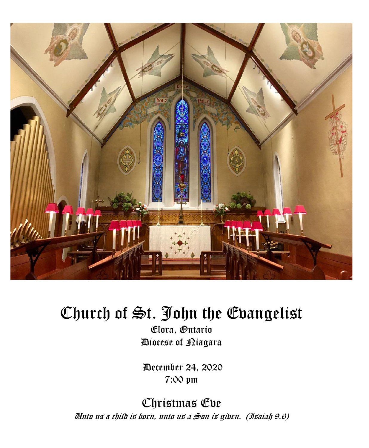

# Church of St. John the Evangelist

Elora, Ontario Diocese of Niagara

December 24, 2020 7:00 pm

Christmas Eve Unto us a child is born, unto us a Son is given. (Isaiah 9.6)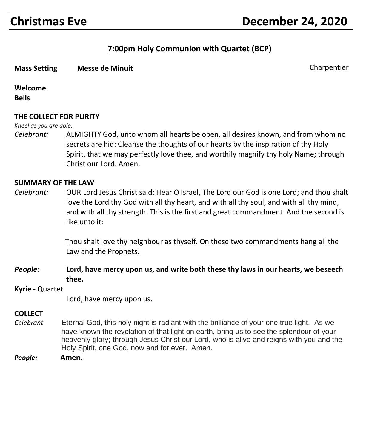## **Christmas Eve December 24, 2020**

#### **7:00pm Holy Communion with Quartet (BCP)**

**Mass Setting Messe de Minuit** Charpentier Charpentier Charpentier Charpentier Charpentier Charpentier Charpentier

#### **Welcome**

**Bells**

#### **THE COLLECT FOR PURITY**

*Kneel as you are able.*

*Celebrant:* ALMIGHTY God, unto whom all hearts be open, all desires known, and from whom no secrets are hid: Cleanse the thoughts of our hearts by the inspiration of thy Holy Spirit, that we may perfectly love thee, and worthily magnify thy holy Name; through Christ our Lord. Amen.

#### **SUMMARY OF THE LAW**

*Celebrant:* OUR Lord Jesus Christ said: Hear O Israel, The Lord our God is one Lord; and thou shalt love the Lord thy God with all thy heart, and with all thy soul, and with all thy mind, and with all thy strength. This is the first and great commandment. And the second is like unto it:

> Thou shalt love thy neighbour as thyself. On these two commandments hang all the Law and the Prophets.

- *People:* **Lord, have mercy upon us, and write both these thy laws in our hearts, we beseech thee.**
- **Kyrie** Quartet

Lord, have mercy upon us.

#### **COLLECT**

- *Celebrant* Eternal God, this holy night is radiant with the brilliance of your one true light. As we have known the revelation of that light on earth, bring us to see the splendour of your heavenly glory; through Jesus Christ our Lord, who is alive and reigns with you and the Holy Spirit, one God, now and for ever. Amen.
- *People:* **Amen.**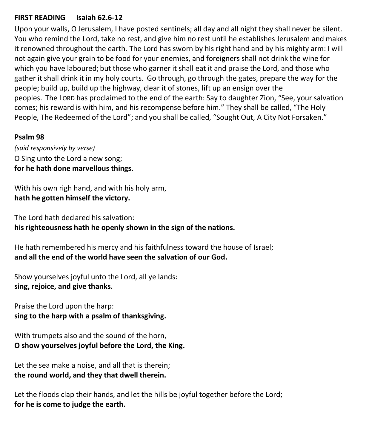#### **FIRST READING Isaiah 62.6-12**

Upon your walls, O Jerusalem, I have posted sentinels; all day and all night they shall never be silent. You who remind the Lord, take no rest, and give him no rest until he establishes Jerusalem and makes it renowned throughout the earth. The Lord has sworn by his right hand and by his mighty arm: I will not again give your grain to be food for your enemies, and foreigners shall not drink the wine for which you have laboured; but those who garner it shall eat it and praise the Lord, and those who gather it shall drink it in my holy courts. Go through, go through the gates, prepare the way for the people; build up, build up the highway, clear it of stones, lift up an ensign over the peoples. The LORD has proclaimed to the end of the earth: Say to daughter Zion, "See, your salvation comes; his reward is with him, and his recompense before him." They shall be called, "The Holy People, The Redeemed of the Lord"; and you shall be called, "Sought Out, A City Not Forsaken."

#### **Psalm 98**

*(said responsively by verse)* O Sing unto the Lord a new song; **for he hath done marvellous things.**

With his own righ hand, and with his holy arm, **hath he gotten himself the victory.**

The Lord hath declared his salvation: **his righteousness hath he openly shown in the sign of the nations.**

He hath remembered his mercy and his faithfulness toward the house of Israel; **and all the end of the world have seen the salvation of our God.**

Show yourselves joyful unto the Lord, all ye lands: **sing, rejoice, and give thanks.**

Praise the Lord upon the harp: **sing to the harp with a psalm of thanksgiving.**

With trumpets also and the sound of the horn, **O show yourselves joyful before the Lord, the King.**

Let the sea make a noise, and all that is therein; **the round world, and they that dwell therein.**

Let the floods clap their hands, and let the hills be joyful together before the Lord; **for he is come to judge the earth.**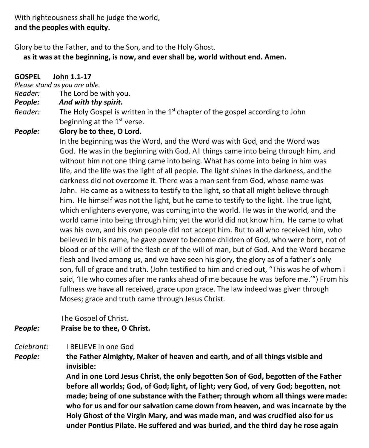With righteousness shall he judge the world, **and the peoples with equity.**

Glory be to the Father, and to the Son, and to the Holy Ghost.

 **as it was at the beginning, is now, and ever shall be, world without end. Amen.**

**GOSPEL John 1.1-17**

*Please stand as you are able.*

*Reader:*The Lord be with you.

#### *People: And with thy spirit.*

Reader: The Holy Gospel is written in the 1<sup>st</sup> chapter of the gospel according to John beginning at the 1<sup>st</sup> verse.

*People:* **Glory be to thee, O Lord.**

 In the beginning was the Word, and the Word was with God, and the Word was God. He was in the beginning with God. All things came into being through him, and without him not one thing came into being. What has come into being in him was life, and the life was the light of all people. The light shines in the darkness, and the darkness did not overcome it. There was a man sent from God, whose name was John. He came as a witness to testify to the light, so that all might believe through him. He himself was not the light, but he came to testify to the light. The true light, which enlightens everyone, was coming into the world. He was in the world, and the world came into being through him; yet the world did not know him. He came to what was his own, and his own people did not accept him. But to all who received him, who believed in his name, he gave power to become children of God, who were born, not of blood or of the will of the flesh or of the will of man, but of God. And the Word became flesh and lived among us, and we have seen his glory, the glory as of a father's only son, full of grace and truth. (John testified to him and cried out, "This was he of whom I said, 'He who comes after me ranks ahead of me because he was before me.'") From his fullness we have all received, grace upon grace. The law indeed was given through Moses; grace and truth came through Jesus Christ.

The Gospel of Christ.

#### *People:* **Praise be to thee, O Christ.**

#### *Celebrant:* I BELIEVE in one God

*People:* **the Father Almighty, Maker of heaven and earth, and of all things visible and invisible:**

> **And in one Lord Jesus Christ, the only begotten Son of God, begotten of the Father before all worlds; God, of God; light, of light; very God, of very God; begotten, not made; being of one substance with the Father; through whom all things were made: who for us and for our salvation came down from heaven, and was incarnate by the Holy Ghost of the Virgin Mary, and was made man, and was crucified also for us under Pontius Pilate. He suffered and was buried, and the third day he rose again**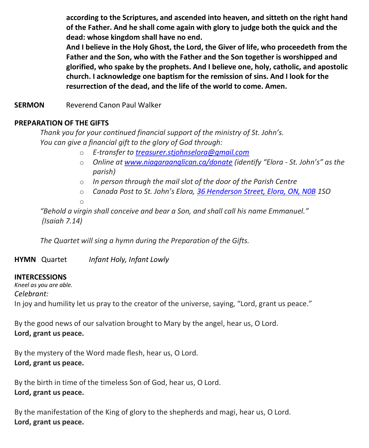**according to the Scriptures, and ascended into heaven, and sitteth on the right hand of the Father. And he shall come again with glory to judge both the quick and the dead: whose kingdom shall have no end.**

**And I believe in the Holy Ghost, the Lord, the Giver of life, who proceedeth from the Father and the Son, who with the Father and the Son together is worshipped and glorified, who spake by the prophets. And I believe one, holy, catholic, and apostolic church. I acknowledge one baptism for the remission of sins. And I look for the resurrection of the dead, and the life of the world to come. Amen.**

**SERMON** Reverend Canon Paul Walker

#### **PREPARATION OF THE GIFTS**

*Thank you for your continued financial support of the ministry of St. John's. You can give a financial gift to the glory of God through:*

- o *E-transfer to [treasurer.stjohnselora@gmail.com](mailto:treasurer.stjohnselora@gmail.com)*
- o *Online at [www.niagaraanglican.ca/donate](http://www.niagaraanglican.ca/donate) (identify "Elora - St. John's" as the parish)*
- o *In person through the mail slot of the door of the Parish Centre*
- o *Canada Post to St. John's Elora, [36 Henderson Street, Elora, ON, N0B](https://www.google.com/maps/search/36+Henderson+Street,+Elora,+ON,+N0B?entry=gmail&source=g) 1SO* o

*"Behold a virgin shall conceive and bear a Son, and shall call his name Emmanuel." (Isaiah 7.14)*

*The Quartet will sing a hymn during the Preparation of the Gifts.*

**HYMN** Quartet *Infant Holy, Infant Lowly*

#### **INTERCESSIONS**

*Kneel as you are able. Celebrant:* In joy and humility let us pray to the creator of the universe, saying, "Lord, grant us peace."

By the good news of our salvation brought to Mary by the angel, hear us, O Lord. **Lord, grant us peace.**

By the mystery of the Word made flesh, hear us, O Lord. **Lord, grant us peace.**

By the birth in time of the timeless Son of God, hear us, O Lord. **Lord, grant us peace.**

By the manifestation of the King of glory to the shepherds and magi, hear us, O Lord. **Lord, grant us peace.**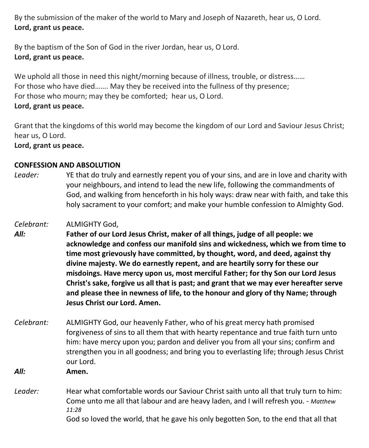By the submission of the maker of the world to Mary and Joseph of Nazareth, hear us, O Lord. **Lord, grant us peace.**

By the baptism of the Son of God in the river Jordan, hear us, O Lord. **Lord, grant us peace.**

We uphold all those in need this night/morning because of illness, trouble, or distress...... For those who have died……. May they be received into the fullness of thy presence; For those who mourn; may they be comforted; hear us, O Lord. **Lord, grant us peace.**

Grant that the kingdoms of this world may become the kingdom of our Lord and Saviour Jesus Christ; hear us, O Lord.

**Lord, grant us peace.**

#### **CONFESSION AND ABSOLUTION**

- *Leader:* YE that do truly and earnestly repent you of your sins, and are in love and charity with your neighbours, and intend to lead the new life, following the commandments of God, and walking from henceforth in his holy ways: draw near with faith, and take this holy sacrament to your comfort; and make your humble confession to Almighty God.
- *Celebrant:* ALMIGHTY God,
- *All:* **Father of our Lord Jesus Christ, maker of all things, judge of all people: we acknowledge and confess our manifold sins and wickedness, which we from time to time most grievously have committed, by thought, word, and deed, against thy divine majesty. We do earnestly repent, and are heartily sorry for these our misdoings. Have mercy upon us, most merciful Father; for thy Son our Lord Jesus Christ's sake, forgive us all that is past; and grant that we may ever hereafter serve and please thee in newness of life, to the honour and glory of thy Name; through Jesus Christ our Lord. Amen.**
- *Celebrant:* ALMIGHTY God, our heavenly Father, who of his great mercy hath promised forgiveness of sins to all them that with hearty repentance and true faith turn unto him: have mercy upon you; pardon and deliver you from all your sins; confirm and strengthen you in all goodness; and bring you to everlasting life; through Jesus Christ our Lord.
- *All:* **Amen.**
- Leader: Hear what comfortable words our Saviour Christ saith unto all that truly turn to him: Come unto me all that labour and are heavy laden, and I will refresh you. - *Matthew 11:28* God so loved the world, that he gave his only begotten Son, to the end that all that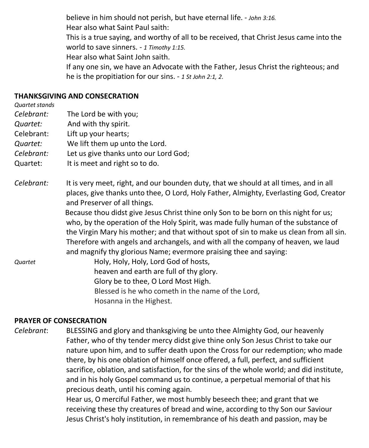believe in him should not perish, but have eternal life. - *John 3:16.* Hear also what Saint Paul saith: This is a true saying, and worthy of all to be received, that Christ Jesus came into the world to save sinners. - *1 Timothy 1:15.* Hear also what Saint John saith. If any one sin, we have an Advocate with the Father, Jesus Christ the righteous; and he is the propitiation for our sins. - *1 St John 2:1, 2*.

#### **THANKSGIVING AND CONSECRATION**

*Quartet stands*

- *Celebrant:* The Lord be with you;
- *Quartet:* And with thy spirit.
- Celebrant: Lift up your hearts;
- *Quartet:* We lift them up unto the Lord.
- *Celebrant:* Let us give thanks unto our Lord God;
- Quartet: It is meet and right so to do.
- *Celebrant:* It is very meet, right, and our bounden duty, that we should at all times, and in all places, give thanks unto thee, O Lord, Holy Father, Almighty, Everlasting God, Creator and Preserver of all things.

Because thou didst give Jesus Christ thine only Son to be born on this night for us; who, by the operation of the Holy Spirit, was made fully human of the substance of the Virgin Mary his mother; and that without spot of sin to make us clean from all sin. Therefore with angels and archangels, and with all the company of heaven, we laud and magnify thy glorious Name; evermore praising thee and saying:

*Quartet* Holy, Holy, Holy, Lord God of hosts, heaven and earth are full of thy glory. Glory be to thee, O Lord Most High. Blessed is he who cometh in the name of the Lord, Hosanna in the Highest.

#### **PRAYER OF CONSECRATION**

*Celebrant*: BLESSING and glory and thanksgiving be unto thee Almighty God, our heavenly Father, who of thy tender mercy didst give thine only Son Jesus Christ to take our nature upon him, and to suffer death upon the Cross for our redemption; who made there, by his one oblation of himself once offered, a full, perfect, and sufficient sacrifice, oblation, and satisfaction, for the sins of the whole world; and did institute, and in his holy Gospel command us to continue, a perpetual memorial of that his precious death, until his coming again.

Hear us, O merciful Father, we most humbly beseech thee; and grant that we receiving these thy creatures of bread and wine, according to thy Son our Saviour Jesus Christ's holy institution, in remembrance of his death and passion, may be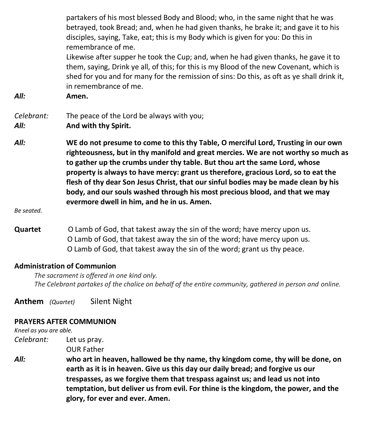partakers of his most blessed Body and Blood; who, in the same night that he was betrayed, took Bread; and, when he had given thanks, he brake it; and gave it to his disciples, saying, Take, eat; this is my Body which is given for you: Do this in remembrance of me.

Likewise after supper he took the Cup; and, when he had given thanks, he gave it to them, saying, Drink ye all, of this; for this is my Blood of the new Covenant, which is shed for you and for many for the remission of sins: Do this, as oft as ye shall drink it, in remembrance of me.

*All:* **Amen.**

### *Celebrant:* The peace of the Lord be always with you;

*All:* **And with thy Spirit.**

*All:* **WE do not presume to come to this thy Table, O merciful Lord, Trusting in our own righteousness, but in thy manifold and great mercies. We are not worthy so much as to gather up the crumbs under thy table. But thou art the same Lord, whose property is always to have mercy: grant us therefore, gracious Lord, so to eat the flesh of thy dear Son Jesus Christ, that our sinful bodies may be made clean by his body, and our souls washed through his most precious blood, and that we may evermore dwell in him, and he in us. Amen.**

*Be seated.*

**Quartet** O Lamb of God, that takest away the sin of the word; have mercy upon us. O Lamb of God, that takest away the sin of the word; have mercy upon us. O Lamb of God, that takest away the sin of the word; grant us thy peace.

#### **Administration of Communion**

 *The sacrament is offered in one kind only. The Celebrant partakes of the chalice on behalf of the entire community, gathered in person and online.* 

**Anthem** *(Quartet)* Silent Night

#### **PRAYERS AFTER COMMUNION**

*Kneel as you are able.*

*Celebrant:* Let us pray. OUR Father

*All:* **who art in heaven, hallowed be thy name, thy kingdom come, thy will be done, on earth as it is in heaven. Give us this day our daily bread; and forgive us our trespasses, as we forgive them that trespass against us; and lead us not into temptation, but deliver us from evil. For thine is the kingdom, the power, and the glory, for ever and ever. Amen.**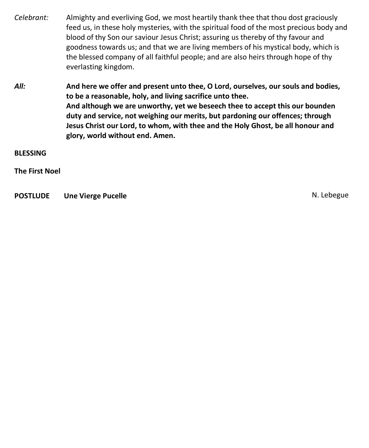- *Celebrant:* Almighty and everliving God, we most heartily thank thee that thou dost graciously feed us, in these holy mysteries, with the spiritual food of the most precious body and blood of thy Son our saviour Jesus Christ; assuring us thereby of thy favour and goodness towards us; and that we are living members of his mystical body, which is the blessed company of all faithful people; and are also heirs through hope of thy everlasting kingdom.
- *All:* **And here we offer and present unto thee, O Lord, ourselves, our souls and bodies, to be a reasonable, holy, and living sacrifice unto thee. And although we are unworthy, yet we beseech thee to accept this our bounden duty and service, not weighing our merits, but pardoning our offences; through Jesus Christ our Lord, to whom, with thee and the Holy Ghost, be all honour and glory, world without end. Amen.**

**BLESSING**

**The First Noel**

**POSTLUDE** Une Vierge Pucelle **Network Contract Contract Contract Contract Contract Contract Contract Contract Contract Contract Contract Contract Contract Contract Contract Contract Contract Contract Contract Contract Con**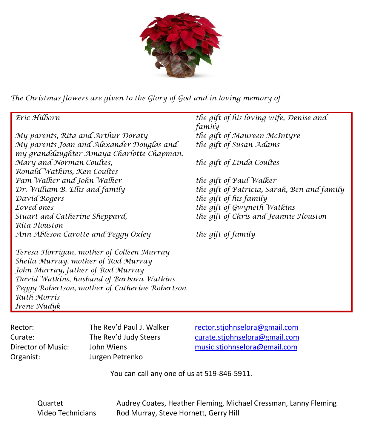

*The Christmas flowers are given to th[e Glory of God](https://creativecommons.org/licenses/by-nc-nd/3.0/) and in loving memory of*

*My parents, Rita and Arthur Doraty the gift of Maureen McIntyre My parents Joan and Alexander Douglas and my granddaughter Amaya Charlotte Chapman. Mary and Norman Coultes, Ronald Watkins, Ken Coultes Pam Walker and John Walker the gift of Paul Walker David Rogers the gift of his family Loved ones the gift of Gwyneth Watkins Stuart and Catherine Sheppard, Rita Houston Ann Ableson Carotte and Peggy Oxley the gift of family*

*Teresa Horrigan, mother of Colleen Murray Sheila Murray, mother of Rod Murray John Murray, father of Rod Murray David Watkins, husband of Barbara Watkins Peggy Robertson, mother of Catherine Robertson Ruth Morris Irene Nudyk*

*Eric Hilborn the gift of his loving wife, Denise and family the gift of Susan Adams*

*the gift of Linda Coultes*

*Dr. William B. Ellis and family the gift of Patricia, Sarah, Ben and family the gift of Chris and Jeannie Houston*

Organist: Jurgen Petrenko

Rector: The Rev'd Paul J. Walker [rector.stjohnselora@gmail.com](mailto:rector.stjohnselora@gmail.com) Curate: The Rev'd Judy Steers [curate.stjohnselora@gmail.com](mailto:curate.stjohnselora@gmail.com) Director of Music: John Wiens [music.stjohnselora@gmail.com](mailto:music.stjohnselora@gmail.com)

You can call any one of us at 519-846-5911.

Quartet Audrey Coates, Heather Fleming, Michael Cressman, Lanny Fleming Video Technicians Rod Murray, Steve Hornett, Gerry Hill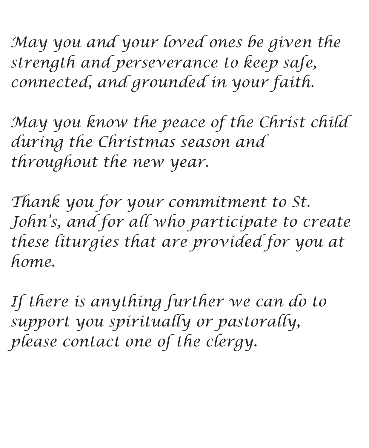*May you and your loved ones be given the strength and perseverance to keep safe, connected, and grounded in your faith.*

*May you know the peace of the Christ child during the Christmas season and throughout the new year.*

*Thank you for your commitment to St. John's, and for all who participate to create these liturgies that are provided for you at home.*

*If there is anything further we can do to support you spiritually or pastorally, please contact one of the clergy.*